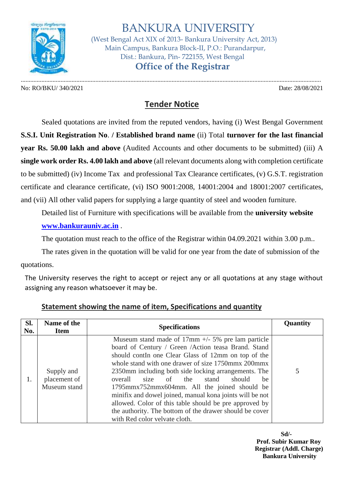

 BANKURA UNIVERSITY (West Bengal Act XIX of 2013- Bankura University Act, 2013) Main Campus, Bankura Block-II, P.O.: Purandarpur, Dist.: Bankura, Pin- 722155, West Bengal

 **Office of the Registrar**

No: RO/BKU/ 340/2021 Date: 28/08/2021

.............................................................................................................................................................................................

## **Tender Notice**

Sealed quotations are invited from the reputed vendors, having (i) West Bengal Government **S.S.I. Unit Registration No**. **/ Established brand name** (ii) Total **turnover for the last financial year Rs. 50.00 lakh and above** (Audited Accounts and other documents to be submitted) (iii) A **single work order Rs. 4.00 lakh and above** (all relevant documents along with completion certificate to be submitted) (iv) Income Tax and professional Tax Clearance certificates, (v) G.S.T. registration certificate and clearance certificate, (vi) ISO 9001:2008, 14001:2004 and 18001:2007 certificates, and (vii) All other valid papers for supplying a large quantity of steel and wooden furniture.

Detailed list of Furniture with specifications will be available from the **university website [www.bankurauniv.ac.in](http://www.bankurauniv.ac.in/)** .

The quotation must reach to the office of the Registrar within 04.09.2021 within 3.00 p.m..

The rates given in the quotation will be valid for one year from the date of submission of the quotations.

The University reserves the right to accept or reject any or all quotations at any stage without assigning any reason whatsoever it may be.

| SI.<br>No. | Name of the<br><b>Item</b>                 | <b>Specifications</b>                                                                                                                                                                                                                                                                                                                                                                                                                                                                                                                                                                                                    | Quantity |
|------------|--------------------------------------------|--------------------------------------------------------------------------------------------------------------------------------------------------------------------------------------------------------------------------------------------------------------------------------------------------------------------------------------------------------------------------------------------------------------------------------------------------------------------------------------------------------------------------------------------------------------------------------------------------------------------------|----------|
|            | Supply and<br>placement of<br>Museum stand | Museum stand made of $17 \text{mm} +/- 5\%$ pre lam particle<br>board of Century / Green /Action teasa Brand. Stand<br>should contin one Clear Glass of 12mm on top of the<br>whole stand with one drawer of size 1750mmx 200mmx<br>2350mm including both side locking arrangements. The<br>overall<br>size of the<br>should<br>stand<br><sub>be</sub><br>1795mmx752mmx604mm. All the joined should be<br>minifix and dowel joined, manual kona joints will be not<br>allowed. Color of this table should be pre approved by<br>the authority. The bottom of the drawer should be cover<br>with Red color velvate cloth. |          |

## **Statement showing the name of item, Specifications and quantity**

**Sd/- Prof. Subir Kumar Roy Registrar (Addl. Charge) Bankura University**